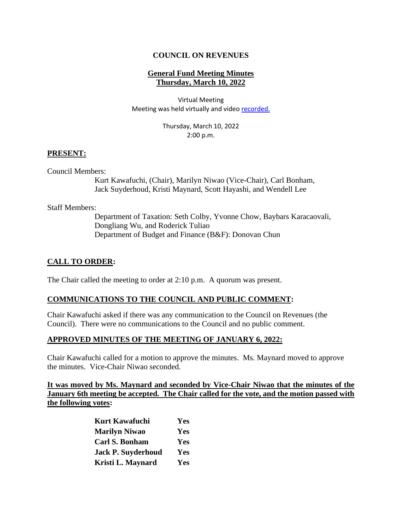# **COUNCIL ON REVENUES**

## **General Fund Meeting Minutes Thursday, March 10, 2022**

Virtual Meeting Meeting was held virtually and vide[o recorded.](https://www.youtube.com/watch?v=HcwIog_KXSQ)

> Thursday, March 10, 2022 2:00 p.m.

#### **PRESENT:**

Council Members:

Kurt Kawafuchi, (Chair), Marilyn Niwao (Vice-Chair), Carl Bonham, Jack Suyderhoud, Kristi Maynard, Scott Hayashi, and Wendell Lee

Staff Members:

Department of Taxation: Seth Colby, Yvonne Chow, Baybars Karacaovali, Dongliang Wu, and Roderick Tuliao Department of Budget and Finance (B&F): Donovan Chun

## **CALL TO ORDER:**

The Chair called the meeting to order at 2:10 p.m. A quorum was present.

#### **COMMUNICATIONS TO THE COUNCIL AND PUBLIC COMMENT:**

Chair Kawafuchi asked if there was any communication to the Council on Revenues (the Council). There were no communications to the Council and no public comment.

#### **APPROVED MINUTES OF THE MEETING OF JANUARY 6, 2022:**

Chair Kawafuchi called for a motion to approve the minutes. Ms. Maynard moved to approve the minutes. Vice-Chair Niwao seconded.

**It was moved by Ms. Maynard and seconded by Vice-Chair Niwao that the minutes of the January 6th meeting be accepted. The Chair called for the vote, and the motion passed with the following votes:**

| <b>Kurt Kawafuchi</b>     | Yes |
|---------------------------|-----|
| <b>Marilyn Niwao</b>      | Yes |
| <b>Carl S. Bonham</b>     | Yes |
| <b>Jack P. Suyderhoud</b> | Yes |
| Kristi L. Maynard         | Yes |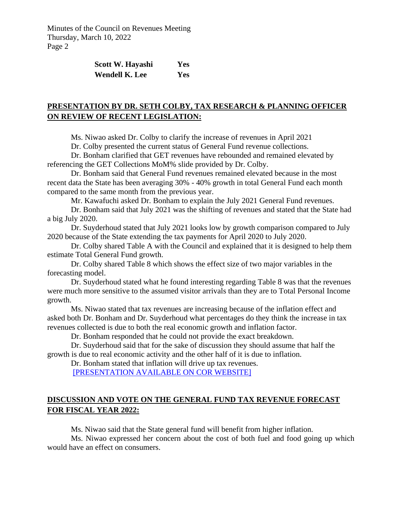| Scott W. Hayashi      | Yes        |
|-----------------------|------------|
| <b>Wendell K. Lee</b> | <b>Yes</b> |

# **PRESENTATION BY DR. SETH COLBY, TAX RESEARCH & PLANNING OFFICER ON REVIEW OF RECENT LEGISLATION:**

Ms. Niwao asked Dr. Colby to clarify the increase of revenues in April 2021

Dr. Colby presented the current status of General Fund revenue collections.

Dr. Bonham clarified that GET revenues have rebounded and remained elevated by referencing the GET Collections MoM% slide provided by Dr. Colby.

Dr. Bonham said that General Fund revenues remained elevated because in the most recent data the State has been averaging 30% - 40% growth in total General Fund each month compared to the same month from the previous year.

Mr. Kawafuchi asked Dr. Bonham to explain the July 2021 General Fund revenues.

Dr. Bonham said that July 2021 was the shifting of revenues and stated that the State had a big July 2020.

Dr. Suyderhoud stated that July 2021 looks low by growth comparison compared to July 2020 because of the State extending the tax payments for April 2020 to July 2020.

Dr. Colby shared Table A with the Council and explained that it is designed to help them estimate Total General Fund growth.

Dr. Colby shared Table 8 which shows the effect size of two major variables in the forecasting model.

Dr. Suyderhoud stated what he found interesting regarding Table 8 was that the revenues were much more sensitive to the assumed visitor arrivals than they are to Total Personal Income growth.

Ms. Niwao stated that tax revenues are increasing because of the inflation effect and asked both Dr. Bonham and Dr. Suyderhoud what percentages do they think the increase in tax revenues collected is due to both the real economic growth and inflation factor.

Dr. Bonham responded that he could not provide the exact breakdown.

Dr. Suyderhoud said that for the sake of discussion they should assume that half the growth is due to real economic activity and the other half of it is due to inflation.

Dr. Bonham stated that inflation will drive up tax revenues.

[\[PRESENTATION AVAILABLE ON COR WEBSITE\]](https://files.hawaii.gov/tax/useful/cor/2022gf03-10_DOTAX_presentation.pdf)

# **DISCUSSION AND VOTE ON THE GENERAL FUND TAX REVENUE FORECAST FOR FISCAL YEAR 2022:**

Ms. Niwao said that the State general fund will benefit from higher inflation.

Ms. Niwao expressed her concern about the cost of both fuel and food going up which would have an effect on consumers.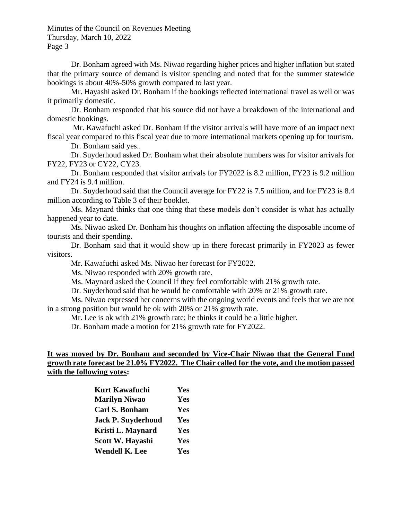Dr. Bonham agreed with Ms. Niwao regarding higher prices and higher inflation but stated that the primary source of demand is visitor spending and noted that for the summer statewide bookings is about 40%-50% growth compared to last year.

Mr. Hayashi asked Dr. Bonham if the bookings reflected international travel as well or was it primarily domestic.

Dr. Bonham responded that his source did not have a breakdown of the international and domestic bookings.

Mr. Kawafuchi asked Dr. Bonham if the visitor arrivals will have more of an impact next fiscal year compared to this fiscal year due to more international markets opening up for tourism.

Dr. Bonham said yes..

Dr. Suyderhoud asked Dr. Bonham what their absolute numbers was for visitor arrivals for FY22, FY23 or CY22, CY23.

Dr. Bonham responded that visitor arrivals for FY2022 is 8.2 million, FY23 is 9.2 million and FY24 is 9.4 million.

Dr. Suyderhoud said that the Council average for FY22 is 7.5 million, and for FY23 is 8.4 million according to Table 3 of their booklet.

Ms. Maynard thinks that one thing that these models don't consider is what has actually happened year to date.

Ms. Niwao asked Dr. Bonham his thoughts on inflation affecting the disposable income of tourists and their spending.

Dr. Bonham said that it would show up in there forecast primarily in FY2023 as fewer visitors.

Mr. Kawafuchi asked Ms. Niwao her forecast for FY2022.

Ms. Niwao responded with 20% growth rate.

Ms. Maynard asked the Council if they feel comfortable with 21% growth rate.

Dr. Suyderhoud said that he would be comfortable with 20% or 21% growth rate.

Ms. Niwao expressed her concerns with the ongoing world events and feels that we are not in a strong position but would be ok with 20% or 21% growth rate.

Mr. Lee is ok with 21% growth rate; he thinks it could be a little higher.

Dr. Bonham made a motion for 21% growth rate for FY2022.

## **It was moved by Dr. Bonham and seconded by Vice-Chair Niwao that the General Fund growth rate forecast be 21.0% FY2022. The Chair called for the vote, and the motion passed with the following votes:**

| <b>Kurt Kawafuchi</b>     | Yes |
|---------------------------|-----|
| <b>Marilyn Niwao</b>      | Yes |
| <b>Carl S. Bonham</b>     | Yes |
| <b>Jack P. Suyderhoud</b> | Yes |
| Kristi L. Maynard         | Yes |
| <b>Scott W. Havashi</b>   | Yes |
| <b>Wendell K. Lee</b>     | Yes |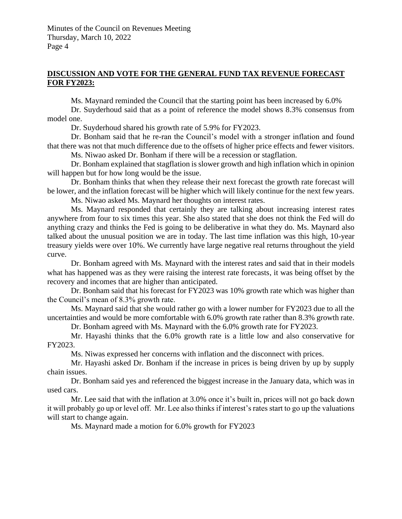## **DISCUSSION AND VOTE FOR THE GENERAL FUND TAX REVENUE FORECAST FOR FY2023:**

Ms. Maynard reminded the Council that the starting point has been increased by 6.0%

Dr. Suyderhoud said that as a point of reference the model shows 8.3% consensus from model one.

Dr. Suyderhoud shared his growth rate of 5.9% for FY2023.

Dr. Bonham said that he re-ran the Council's model with a stronger inflation and found that there was not that much difference due to the offsets of higher price effects and fewer visitors.

Ms. Niwao asked Dr. Bonham if there will be a recession or stagflation.

Dr. Bonham explained that stagflation is slower growth and high inflation which in opinion will happen but for how long would be the issue.

Dr. Bonham thinks that when they release their next forecast the growth rate forecast will be lower, and the inflation forecast will be higher which will likely continue for the next few years.

Ms. Niwao asked Ms. Maynard her thoughts on interest rates.

Ms. Maynard responded that certainly they are talking about increasing interest rates anywhere from four to six times this year. She also stated that she does not think the Fed will do anything crazy and thinks the Fed is going to be deliberative in what they do. Ms. Maynard also talked about the unusual position we are in today. The last time inflation was this high, 10-year treasury yields were over 10%. We currently have large negative real returns throughout the yield curve.

Dr. Bonham agreed with Ms. Maynard with the interest rates and said that in their models what has happened was as they were raising the interest rate forecasts, it was being offset by the recovery and incomes that are higher than anticipated.

Dr. Bonham said that his forecast for FY2023 was 10% growth rate which was higher than the Council's mean of 8.3% growth rate.

Ms. Maynard said that she would rather go with a lower number for FY2023 due to all the uncertainties and would be more comfortable with 6.0% growth rate rather than 8.3% growth rate.

Dr. Bonham agreed with Ms. Maynard with the 6.0% growth rate for FY2023.

Mr. Hayashi thinks that the 6.0% growth rate is a little low and also conservative for FY2023.

Ms. Niwas expressed her concerns with inflation and the disconnect with prices.

Mr. Hayashi asked Dr. Bonham if the increase in prices is being driven by up by supply chain issues.

Dr. Bonham said yes and referenced the biggest increase in the January data, which was in used cars.

Mr. Lee said that with the inflation at 3.0% once it's built in, prices will not go back down it will probably go up or level off. Mr. Lee also thinks if interest's rates start to go up the valuations will start to change again.

Ms. Maynard made a motion for 6.0% growth for FY2023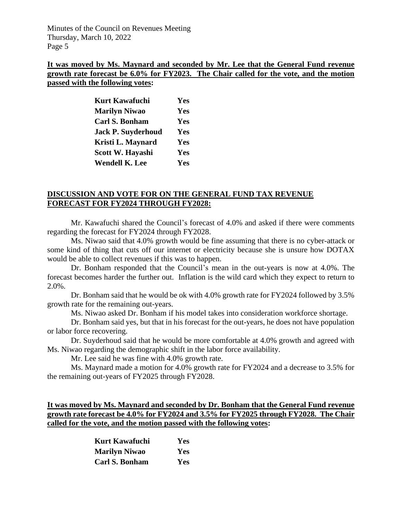## **It was moved by Ms. Maynard and seconded by Mr. Lee that the General Fund revenue growth rate forecast be 6.0% for FY2023. The Chair called for the vote, and the motion passed with the following votes:**

| <b>Kurt Kawafuchi</b>     | Yes |
|---------------------------|-----|
| <b>Marilyn Niwao</b>      | Yes |
| Carl S. Bonham            | Yes |
| <b>Jack P. Suyderhoud</b> | Yes |
| Kristi L. Maynard         | Yes |
| Scott W. Hayashi          | Yes |
| <b>Wendell K. Lee</b>     | Yes |

## **DISCUSSION AND VOTE FOR ON THE GENERAL FUND TAX REVENUE FORECAST FOR FY2024 THROUGH FY2028:**

Mr. Kawafuchi shared the Council's forecast of 4.0% and asked if there were comments regarding the forecast for FY2024 through FY2028.

Ms. Niwao said that 4.0% growth would be fine assuming that there is no cyber-attack or some kind of thing that cuts off our internet or electricity because she is unsure how DOTAX would be able to collect revenues if this was to happen.

Dr. Bonham responded that the Council's mean in the out-years is now at 4.0%. The forecast becomes harder the further out. Inflation is the wild card which they expect to return to 2.0%.

Dr. Bonham said that he would be ok with 4.0% growth rate for FY2024 followed by 3.5% growth rate for the remaining out-years.

Ms. Niwao asked Dr. Bonham if his model takes into consideration workforce shortage.

Dr. Bonham said yes, but that in his forecast for the out-years, he does not have population or labor force recovering.

Dr. Suyderhoud said that he would be more comfortable at 4.0% growth and agreed with Ms. Niwao regarding the demographic shift in the labor force availability.

Mr. Lee said he was fine with 4.0% growth rate.

Ms. Maynard made a motion for 4.0% growth rate for FY2024 and a decrease to 3.5% for the remaining out-years of FY2025 through FY2028.

**It was moved by Ms. Maynard and seconded by Dr. Bonham that the General Fund revenue growth rate forecast be 4.0% for FY2024 and 3.5% for FY2025 through FY2028. The Chair called for the vote, and the motion passed with the following votes:**

| Kurt Kawafuchi        | Yes        |
|-----------------------|------------|
| <b>Marilyn Niwao</b>  | <b>Yes</b> |
| <b>Carl S. Bonham</b> | Yes        |